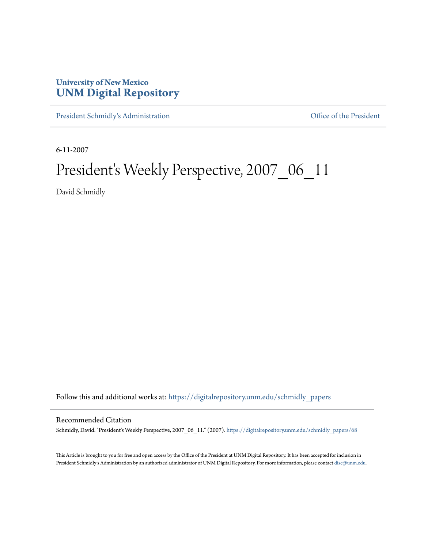## **University of New Mexico [UNM Digital Repository](https://digitalrepository.unm.edu?utm_source=digitalrepository.unm.edu%2Fschmidly_papers%2F68&utm_medium=PDF&utm_campaign=PDFCoverPages)**

[President Schmidly's Administration](https://digitalrepository.unm.edu/schmidly_papers?utm_source=digitalrepository.unm.edu%2Fschmidly_papers%2F68&utm_medium=PDF&utm_campaign=PDFCoverPages) [Office of the President](https://digitalrepository.unm.edu/ofc_president?utm_source=digitalrepository.unm.edu%2Fschmidly_papers%2F68&utm_medium=PDF&utm_campaign=PDFCoverPages)

6-11-2007

## President's Weekly Perspective, 2007\_06\_11

David Schmidly

Follow this and additional works at: [https://digitalrepository.unm.edu/schmidly\\_papers](https://digitalrepository.unm.edu/schmidly_papers?utm_source=digitalrepository.unm.edu%2Fschmidly_papers%2F68&utm_medium=PDF&utm_campaign=PDFCoverPages)

## Recommended Citation

Schmidly, David. "President's Weekly Perspective, 2007\_06\_11." (2007). [https://digitalrepository.unm.edu/schmidly\\_papers/68](https://digitalrepository.unm.edu/schmidly_papers/68?utm_source=digitalrepository.unm.edu%2Fschmidly_papers%2F68&utm_medium=PDF&utm_campaign=PDFCoverPages)

This Article is brought to you for free and open access by the Office of the President at UNM Digital Repository. It has been accepted for inclusion in President Schmidly's Administration by an authorized administrator of UNM Digital Repository. For more information, please contact [disc@unm.edu](mailto:disc@unm.edu).